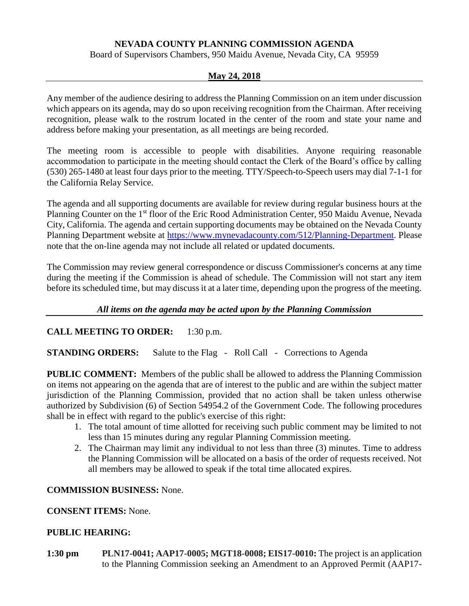# **NEVADA COUNTY PLANNING COMMISSION AGENDA**

Board of Supervisors Chambers, 950 Maidu Avenue, Nevada City, CA 95959

### **May 24, 2018**

Any member of the audience desiring to address the Planning Commission on an item under discussion which appears on its agenda, may do so upon receiving recognition from the Chairman. After receiving recognition, please walk to the rostrum located in the center of the room and state your name and address before making your presentation, as all meetings are being recorded.

The meeting room is accessible to people with disabilities. Anyone requiring reasonable accommodation to participate in the meeting should contact the Clerk of the Board's office by calling (530) 265-1480 at least four days prior to the meeting. TTY/Speech-to-Speech users may dial 7-1-1 for the California Relay Service.

The agenda and all supporting documents are available for review during regular business hours at the Planning Counter on the 1<sup>st</sup> floor of the Eric Rood Administration Center, 950 Maidu Avenue, Nevada City, California. The agenda and certain supporting documents may be obtained on the Nevada County Planning Department website at [https://www.mynevadacounty.com/512/Planning-Department.](https://www.mynevadacounty.com/512/Planning-Department) Please note that the on-line agenda may not include all related or updated documents.

The Commission may review general correspondence or discuss Commissioner's concerns at any time during the meeting if the Commission is ahead of schedule. The Commission will not start any item before its scheduled time, but may discuss it at a later time, depending upon the progress of the meeting.

## *All items on the agenda may be acted upon by the Planning Commission*

**CALL MEETING TO ORDER:** 1:30 p.m.

**STANDING ORDERS:** Salute to the Flag - Roll Call - Corrections to Agenda

**PUBLIC COMMENT:** Members of the public shall be allowed to address the Planning Commission on items not appearing on the agenda that are of interest to the public and are within the subject matter jurisdiction of the Planning Commission, provided that no action shall be taken unless otherwise authorized by Subdivision (6) of Section 54954.2 of the Government Code. The following procedures shall be in effect with regard to the public's exercise of this right:

- 1. The total amount of time allotted for receiving such public comment may be limited to not less than 15 minutes during any regular Planning Commission meeting.
- 2. The Chairman may limit any individual to not less than three (3) minutes. Time to address the Planning Commission will be allocated on a basis of the order of requests received. Not all members may be allowed to speak if the total time allocated expires.

## **COMMISSION BUSINESS:** None.

## **CONSENT ITEMS:** None.

## **PUBLIC HEARING:**

**1:30 pm PLN17-0041; AAP17-0005; MGT18-0008; EIS17-0010:** The project is an application to the Planning Commission seeking an Amendment to an Approved Permit (AAP17